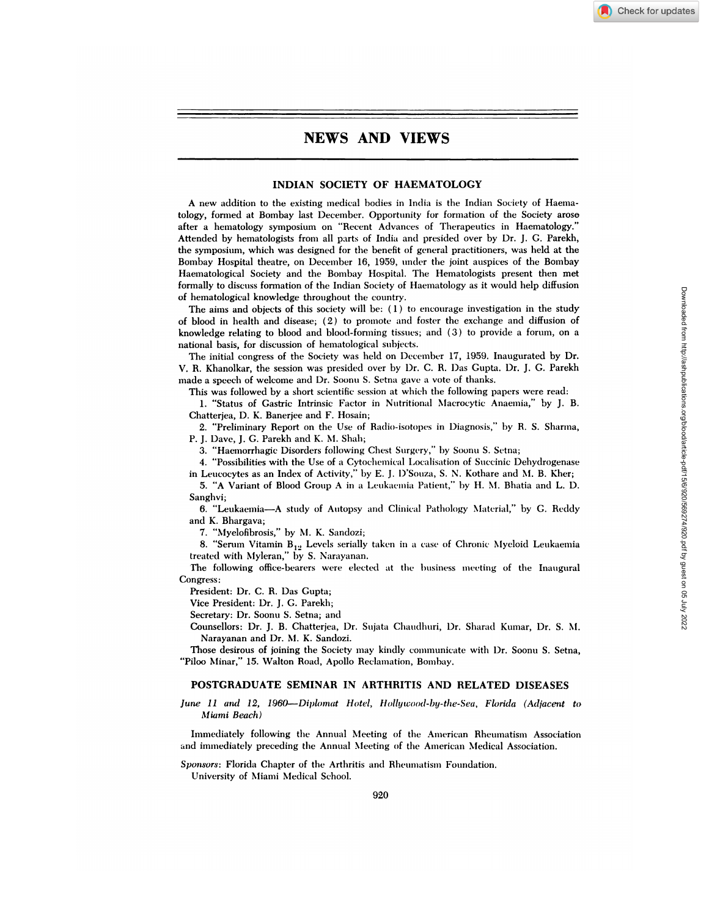## **INDIAN SOCIETY OF HAEMATOLOGY**

**A new addition** to the existing medical bodies in Intlia is the Indian Society of Haenla tology, formed at Bombay last December. Opportunity for formation of the Society arose after a hematology symposium on "Recent Advances of Therapeutics in Haematology." Attended by hemnatologists from all parts of India and presided over by Dr. **J. C.** Parekh, the symposium, which was designed for the benefit of general practitioners, was held at the Bombay Hospital theatre, on December 16, 1959, under the joint auspices of the Bombay Haematological Society and the Bombay Hospital. The Hematologists present then met formally to discuss formation of the Indian Society of Haematology as it would help diffusion **of hematological knowledge throughout the** country.

The aims and objects of this society will be:  $(1)$  to encourage investigation in the study of blood in health and disease;  $(2)$  to promote and foster the exchange and diffusion of knowledge relating to blood and blood-forming tissues; and  $(3)$  to provide a forum, on a national basis, for discussion of hematological subjects.

The initial congress of the Society was held on December 17, 1959. Inaugurated by Dr. **V. R.** Khanolkar, the session was presided over by 1)r. C. R. I)as Gupta. Dr. **J. G.** Parekh made a speech of welcome and Dr. Soonu S. Setna gave a vote of thanks.

This was followed by a short scientific session at which the following papers were read:

1. "Status of Gastric Intrinsic Factor in Nutritional Nlacrocytic Anaemia," by J. B. Chatterjea, D. K. Banerjee and F. Hosain;

2. "Preliminary Report on the Use of Radio-isotopes in Diagnosis," by R. S. Sharma, P. J. I)ave, **J. C. Parekh and K.** NI. Shah;

3. "Haemorrhagic Disorders following Chest Surgery," by Soonu S. Setna;

4. "Possibilities with the Use of a Cytochemlical Localisation of Succinic Dehydrogenase in Leucocytes as an Index of Activity," by E. J. D'Souza, S. N. Kothare and M. B. Kher;

5. "A Variant of Blood Group A in a Leukaemia Patient," by H. M. Bhatia and L. D. Sanghvi;

6. "Leukaemia-A study of Autopsy and Clinical Pathology Material," by G. Reddy and K. Bhargava;

7. "Myelofibrosis," by M. K. Sandozi;

8. "Serum Vitamin  $B_{12}$  Levels serially taken in a case of Chronic Myeloid Leukaemia treated with Myleran," by S. Narayanan.

The following office-bearers were elected at the business meeting of the Inaugural Congress:

President: Dr. C. R. Das Gupta;

Vice President: Dr. J. **C. Parekh;**

Secretary: Dr. Soonu S. Setna; and

Counsellors: **Dr. J. B. Chatterjea, Dr. Sujata** Chaumdhtmri, 1)r. Silarad Kumar, Dr. S. NI. Narayanan and Dr. M. K. Sandozi.

Those desirous of joining the Society may kindly communicate with Dr. Soonu S. Setna, "Piloo Minar," 15. Walton Road, Apollo Reclamation, Bombay.

## **POSTGRADUATE SEMINAR IN ARTHRITIS AND RELATED DISEASES**

## *June 11 and 12, 1960-Diplomat Hotel, Hollywood-by-the-Sea, Florida (Adjacent to Miami Beach)*

Immediately following the Annual Meeting of the American Rheumatism Association and immediately preceding the Annual Meeting of the Amnerican Medical Association.

**Sponsors: Florida Chapter of the Arthritis and Rheumatism Foundation.** 

University of Miami Medical School.

Check for updates